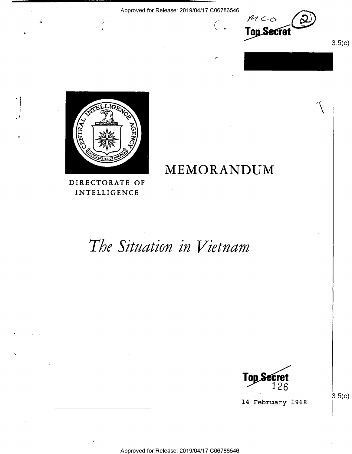/,\_.

I

MEMORANDUM





'Y

'

DIRECTORATE OF INTELLIGENCE

6

# The Situation in Vietnam



14 February 1968

 $3.5(c)$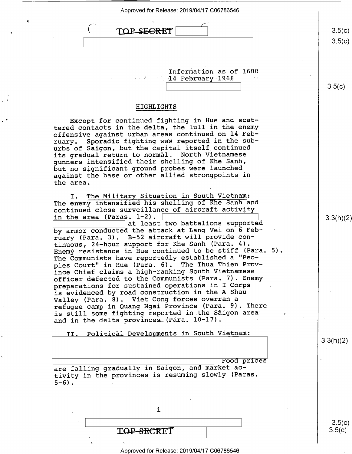| TOP SEGRET             | 3.5(c) |
|------------------------|--------|
|                        | 3.5(c) |
|                        |        |
|                        |        |
|                        |        |
| Information as of 1600 |        |

14 February 1968

HIGHLIGHTS

Except for continued fighting in Hue and scattered contacts in the delta, the lull in the enemy offensive against urban areas continued on 14 Feb-<br>ruary. Sporadic fighting was reported in the sub-Sporadic fighting was reported in the suburbs of Saigon, but the capital itself continued its gradual return to normal. North Vietnamese gunners intensified their shelling of Khe Sanh, but no significant ground probes were launched against the base or other allied strongpoints in the area.

I. The Military Situation in South Vietnam: The enemy intensified his shelling of Khe Sanh and continued close surveillance of aircraft activity in the area (Paras. 1-2).  $\boxed{\qquad \qquad}$  3.3(h)(2)

at least two battalions supported by armor conducted the attack at Lang Vei on 6 February (Para. 3). B-52 aircraft will provide continuous, 24-hour support for Khe Sanh (Para. 4). Enemy resistance in Hue continued to be stiff (Para. 5). The Communists have reportedly established a "Peoples Court" in Hue (Para. 6). The Thua Thien Province Chief claims a high—ranking South Vietnamese officer defected to the Communists (Para. 7). Enemy preparations for sustained operations in I Corps is evidenced by road construction in the A Shau Valley (Para. 8). Viet Cong forces overran a refugee camp in Quang Ngai Province (Para. 9). There is still some fighting reported in the Saigon area and in the delta provinces (Para. 10-17).

II. Political Developments in South Vietnam:

Food prices are falling gradually in Saigon, and market activity in the provinces is resuming slowly (Paras.  $5-6$ ).

i

'

Approved for Release: 2019/04/17 C06786546

 $\begin{bmatrix} 0 & 0 & 0 \ 0 & 0 & 0 \end{bmatrix}$   $\begin{bmatrix} 0 & 0 & 0 \ 0 & 0 & 0 \end{bmatrix}$   $\begin{bmatrix} 0 & 0 & 0 \ 0 & 0 & 0 \end{bmatrix}$   $\begin{bmatrix} 0 & 0 & 0 \ 0 & 0 & 0 \end{bmatrix}$ 

 $\text{TOP-SECRE}$   $|$  3.5(c)

 $3.5(c)$ 

3.3(h)(2)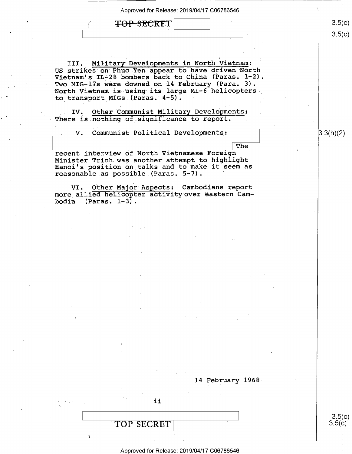$\frac{3.5(C)}{2}$ 

'The

 $3.5(c)$ 

 $3.5(c)$ 

<del>TOP SECRE</del>T

III. Military Developments in North Vietnam: US strikes on:Phuc Yen appear to have.driven North Vietnam's IL-28 bombers back to China (Paras.  $l-2$ ). Two MIG-17s were downed on 14 February (Para. 3). -North-Vietnam is using its large MI—6 helicopters. to transport MIGs (Paras. 4-5).

IV. Other Communist Military Developments: There is nothing of significance to report.

V. Communist Political Developments:  $\vert$  (3.3(h)(2)

recent interview of North Vietnamese Foreign<br>Minister Trinh was another attempt to highlight Hanoi's position on talks and to make it seem as reasonable as possible (Paras. 5-7). '

VI. Other Major Aspects: Cambodians report more allied helicopter activityover eastern Cambodia  $(Paras. 1-3)$ .

14 February 1968

 $\begin{array}{|c|c|c|c|}\n \hline\n \text{TOP SECRET} & & & & 3.5(\text{c}) \\
 \hline\n & 3.5(\text{c}) & & & 3.5(\text{c}) \\
 \hline\n\end{array}$ 

Approved for Release: 2019/04/17 C06786546

. Ii

I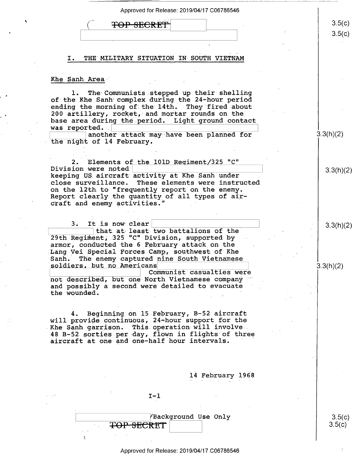|  | Approved for Release: 2019/04/17 C06786546                                                               |                  |
|--|----------------------------------------------------------------------------------------------------------|------------------|
|  | TOP SECRE                                                                                                | 3.5(c)           |
|  |                                                                                                          | 3.5(c)           |
|  |                                                                                                          |                  |
|  | THE MILITARY SITUATION IN SOUTH VIETNAM<br>Ι.                                                            |                  |
|  |                                                                                                          |                  |
|  | Khe Sanh Area                                                                                            |                  |
|  | 1. The Communists stepped up their shelling<br>of the Khe Sanh complex during the 24-hour period         |                  |
|  | ending the morning of the 14th. They fired about                                                         |                  |
|  | 200 artillery, rocket, and mortar rounds on the<br>base area during the period. Light ground contact     |                  |
|  | was reported.<br>another attack may have been planned for                                                | 3.3(h)(2)        |
|  | the night of 14 February.                                                                                |                  |
|  |                                                                                                          |                  |
|  | Elements of the 101D Regiment/325 "C"<br>2.<br>Division were noted                                       |                  |
|  | keeping US aircraft activity at Khe Sanh under                                                           | 3.3(h)(2)        |
|  | These elements were instructed<br>close surveillance.<br>on the 12th to "frequently report on the enemy. |                  |
|  | Report clearly the quantity of all types of air-<br>craft and enemy activities."                         |                  |
|  |                                                                                                          |                  |
|  | 3. It is now clear                                                                                       | 3.3(h)(2)        |
|  | that at least two battalions of the<br>29th Regiment, 325 "C" Division, supported by                     |                  |
|  | armor, conducted the 6 February attack on the                                                            |                  |
|  | Lang Vei Special Forces Camp, southwest of Khe<br>Sanh. The enemy captured nine South Vietnamese         |                  |
|  | soldiers, but no Americans<br>Communist casualties were                                                  | 3.3(h)(2)        |
|  | not described, but one North Vietnamese company                                                          |                  |
|  | and possibly a second were detailed to evacuate<br>the wounded.                                          |                  |
|  |                                                                                                          |                  |
|  | Beginning on 15 February, B-52 aircraft<br>4.<br>will provide continuous, 24-hour support for the        |                  |
|  | This operation will involve<br>Khe Sanh garrison.                                                        |                  |
|  | 48 B-52 sorties per day, flown in flights of three<br>aircraft at one and one-half hour intervals.       |                  |
|  |                                                                                                          |                  |
|  |                                                                                                          |                  |
|  | 14 February 1968                                                                                         |                  |
|  |                                                                                                          |                  |
|  | $I-1$                                                                                                    |                  |
|  |                                                                                                          |                  |
|  | Background Use Only<br><del>SECRET</del>                                                                 | 3.5(c)<br>3.5(c) |
|  |                                                                                                          |                  |
|  |                                                                                                          |                  |
|  | Approved for Release: 2019/04/17 C06786546                                                               |                  |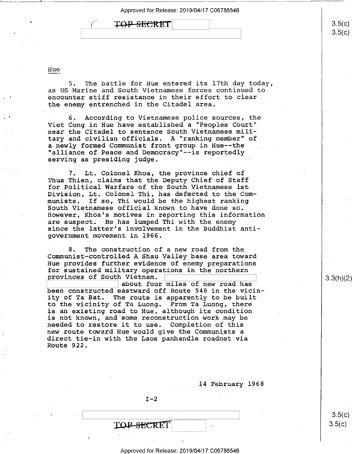| <b>EXAMPLE SECRET I</b> |  |
|-------------------------|--|
|                         |  |

#### Hue

 $5.$  The battle for Hue entered its 17th day today, as US Marine and South Vietnamese forces continued to encounter stiff resistance in their effort to clear the enemy entrenched in the Citadel area.

6. According to Vietnamese police sources, the Viet Cong in Hue have established a "Peoples Court" near the Citadel to sentence South Vietnamese military and civilian officials. A "ranking member" of a newly formed Communist front group in Hue--the "alliance of Peace and Democracy"--is reportedly<br>serving as presiding judge.

7. Lt. Colonel Khoa, the province chief of Thua Thien, claims that the Deputy Chief of Staff for Political Warfare of the South Vietnamese lst Division, Lt. Colonel Thi, has defected to the Communists. If so, Thi would be the highest ranking South Vietnamese official known to have done so. However, Khoa's motives in reporting this information are suspect. He has lumped Thi with the enemy since the latter's involvement in the Buddhist antigovernment movement in 1966. '

8. The construction of a new road from the. Communist—control1ed A Shau Valley base area toward Hue provides further evidence of enemy preparations for sustained military operations in the northern provinces of South Vietnam.  $\sqrt{a}$ 

about four miles of new road has been constructed eastward off Route 548 in the vicinity of Ta Bat. The route is apparently to be built. to the vicinity of Ta Luong.' From Ta Luong, there is an existing road to Hue, although its condition is not known, and some reconstruction work may be needed to restore it to use. Completion of this new route toward Hue would give the Communists a direct tie-in with the Laos panhandle roadnet via Route 922.

l4 February l968

 $I-2$ 

**TOP-SECRET** 

I.

 $3.5(c)$  $3.5(c)$ 

3.3(h)(2)

3.5(C)<br>O. E ( - )

 $3.5(c)$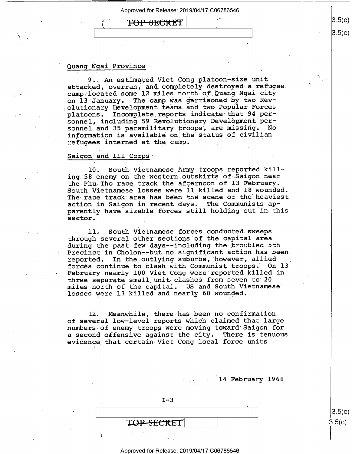$\overline{P} \overline{O} \overline{P}$   $\overline{S}$   $\overline{S}$   $\overline{S}$   $\overline{S}$   $\overline{S}$   $\overline{S}$   $\overline{S}$   $\overline{S}$   $\overline{S}$   $\overline{S}$   $\overline{S}$   $\overline{S}$   $\overline{S}$   $\overline{S}$   $\overline{S}$   $\overline{S}$   $\overline{S}$   $\overline{S}$   $\overline{S}$   $\overline{S}$   $\overline{S}$   $\overline{S}$   $\$ 

## Quang Ngai Province

9. An estimated Viet Cong platoon-size unit attacked, overran, and completely destroyed a refugee. camp located some 12 miles north-of\_Quang Ngai city on 13 January. The camp was garrisoned by two Revolutionary Development teams and two Popular Forces platoons. Incomplete reports indicate that 94 personnel, including 59 Revolutionary Development personnel and 35 paramilitary troops, are missing. No information is available on the status of civilian refugees interned at the camp.

#### Saigon and III Corps

l0. South Vietnamese Army troops reported killing 58 enemy on the western.outskirts of Saigon near the Phu Tho race track the afternoon of l3 February. South Vietnamese losses were ll killed and l8 wounded. The race track area has been the scene of the heaviest<br>action in Saigon in recent days. The Communists apaction in Saigon in recent days. parently-have sizable forces still holding out in this sector.

ll. South Vietnamese forces conducted sweeps through several other sections of the capital area during the past few days--including the troubled 5th Precinct in Cholon--but-no significant action has been reported. In the outlying suburbs, however, allied forces continue to clash with Communist troops. On l3. February nearly 100 Viet Cong were reported killed in three separate small\_unit clashes from seven to 20 miles north of the capital. US and South Vietnamese" losses were 13 killed and nearly 60 wounded.

12. Meanwhile, there-has been no confirmation of several.low-level reports which claimed that large numbers of enemy troops were moving toward Saigon for a second offensive against the city. There is tenuous evidence that certain Viet Cong local force units

14 February 1968

 $\vert$  s.5(c)

 $3.5(c)$ 

 $3.5(c)$ 

 $3.5(c)$ 

 $I-3$ 

T<del>OP SECRE</del>T

l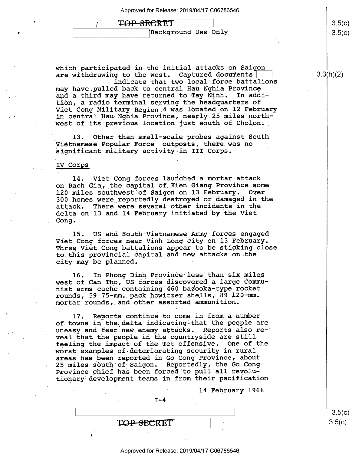### TOP-SECRET

(,

'

Background Use Only

which participated in the initial attacks on Saigon are withdrawing to the west. Captured documents

indicate that two local force battalions may have.pulled back to central Hau Nghia Province and a third may have returned to Tay Ninh. tion, a radio\_terminal serving the headquarters of Viet Cong Military Region 4 was located on l2 February. in central Hau-Nghia Province, nearly 25 miles northwest of its previous location just south of Cholon.

13. Other than small-scale probes against South Vietnamese Popular Force outposts, there.was no significant military activity in III Corps.

#### IV Corps

 $\ddot{\phantom{0}}$ 

l4. Viet-Cong forces launched-a mortar attack on Rach Gia, the capital of Kien Giang Province some<br>120 miles southwest of Saigon on 13 February. Over 120 miles southwest of Saigon on 13 February. 300 homes were reportedly destroyed or damaged in the There were several other incidents in the delta on l3 and l4 February initiated by the Viet Cong.

15. US and South Vietnamese Army forces engaged Viet Cong forces near Vinh Long city on l3 February. Three Viet Cong battalions appear to be sticking close to this provincial capital and new attacks on the city may be planned.

16. In Phong Dinh Province less than six miles west of Can Tho, US forces discovered a large Communist arms cache containing 460 bazooka-type rocket rounds, 59 75—mm. pack howitzer shells, 89 l20—mm. mortar rounds, and other assorted ammunition.

. 17. Reports continue to come in from a number of towns in the delta indicating that the people are uneasy and fear new enemy attacks. Reports also reveal that the people in the countryside are still feeling the impact of the Tet offensive. One of the worst examples of deteriorating security in ruralareas has been reported in Go Cong Province, about 25 miles south of Saigon. Reportedly, the Go Cong ' Province chief has been forced to pull all revolutionary development teams in from their pacification

14 February 1968

 $I-4$ 

H

v

 $3.5(c)$  $3.5(c)$  $\begin{bmatrix} 0 & 0 & 0 \\ 0 & 0 & 0 \\ 0 & 0 & 0 \end{bmatrix}$ 

# 3.3(h)(2)

 $3.5($  $3.5(c)$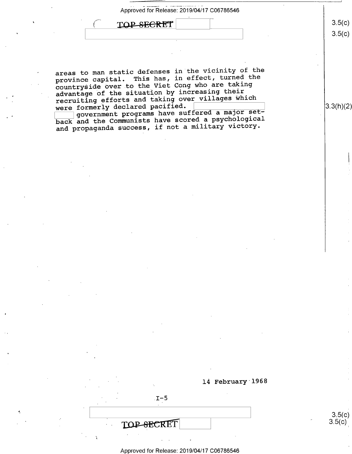| Approved for Release: 2019/04/17 C06786546 |      |
|--------------------------------------------|------|
| TOP-SECRET                                 | 3.5( |
|                                            |      |
|                                            |      |

 $3.5(c)$ 

 $\lambda$ 

areas to man static defenses in the vicinity of the province capital. This has, in effect, turned the countryside over.to the Viet Cong who are taking advantage of the situation by increasing their recruiting efforts and taking over villages which<br>were formerly declared pacified.

were formerly declared pacified. <br>
government programs have suffered a major set-  $\left| \frac{3.3(h)(2)}{2.5(h)(2)} \right|$ back and the Communists have scored a psychological and propaganda success, if not a military victory.



 $\begin{array}{|c|c|c|c|c|}\n\hline\n3.5(C) & 3.5(C)\n\hline\n2.5(C) & 2.5(C)\n\hline\n3.5(C) & 3.5(C)\n\hline\n3.5(C) & 3.5(C)\n\hline\n3.5(C) & 3.5(C)\n\hline\n3.5(C) & 3.5(C)\n\hline\n3.5(C) & 3.5(C)\n\hline\n4.5(C) & 3.5(C)\n\hline\n5.5(C) & 3.5(C)\n\hline\n6.5(C) & 3.5(C)\n\hline\n7.5(C) & 3.5(C)\n\hline\n8.5(C) & 3.5(C$ 

 **and**  $3.5(c)$ 

 $\ddot{\phantom{0}}$ 

l4 February 1968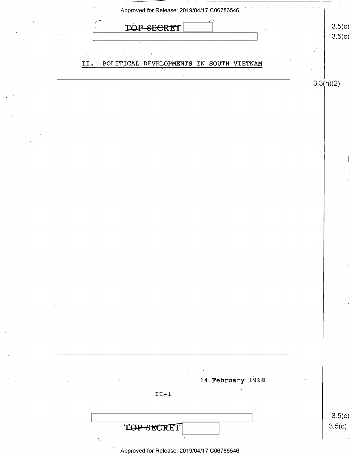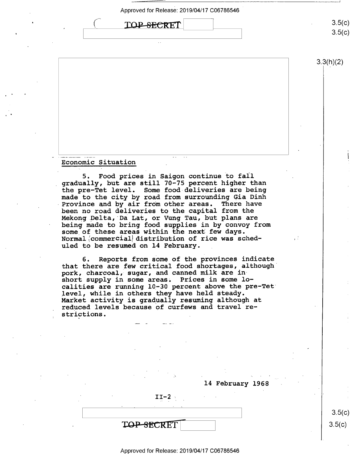

 $3.5(c)$  $3.5(c)$ 

3.3(h)(2)

# Economic Situation \_

5. Food prices in Saigon continue to fall gradually, but are still 70-75 percent higher than the pre-Tet level. Some food deliveries are being made to the city by road from surrounding Gia Dinh Province and by air from other areas. There have been no road deliveries to the capital from the Mekong.Delta, Da Lat, or Vung Tau, but plans are being made to bring food supplies in by convoy from some of these areas within the next few days. Normal commercial distribution of rice was scheduled to be resumed on 14 February.

6. Reports from some of the provinces indicate that there are few critical food shortages, although' pork, charcoal, sugar, and canned milk are inshort supply in some areas. Prices in some localities are running 10-30 percent above the pre-Tet level, while in others they have held steady. Market activity is gradually resuming although at reduced levels because of curfews and travel restrictions.

 $II-2$ TOP-SECRET

l4 February 1968

 $3.5(c)$  $3.5(c)$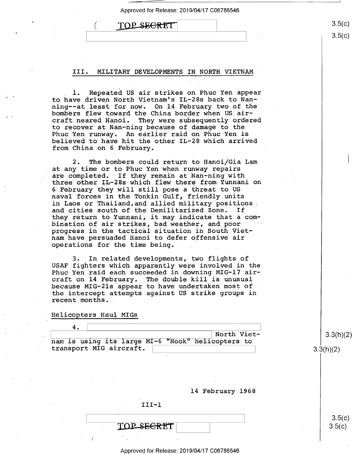| TOP SECRET |  |
|------------|--|
|            |  |

#### III. MILITARY DEVELOPMENTS IN NORTH VIETNAM

1. Repeated US air strikes on Phuc Yen appear to have driven North Vietnam's IL-28s back to Nan-<br>ning--at least for now. On 14 February two of the on 14 February two-of the. bombers flew toward the China border when US aircraft neared Hanoi. They were subsequently ordered to recover at Nan-ning because of damage to the Phuc Yen runway. An earlier raid on Phuc Yen is believed to have hit the other IL-28 which arrived from China on 6 February.

2. The bombers could return to Hanoi/Gia Lam at any time or to Phuc Yen when runway repairs<br>are completed. If they remain at Nan-ning wit If they remain at Nan-ning with three other IL-28s-which flew there from-Yunnani on 6 February they will still pose a threat to USnaval forces in the Tonkin Gulf, friendly units in Laos or Thailand,and allied military positions<br>and cities south of the Demilitarized Zone. If and cities south of the Demilitarized Zone. they return to Yunnani, it may indicate that a combination of air strikes, bad weather, and poor progress in the tactical situation in South Vietnam have persuaded Hanoi to defer offensive air operations for the time being.

3. In related developments, two flights of USAF fighters which apparently were involved in the Phuc Yen raid each succeeded in downing MIG-l7 aircraft on l4 February. The double kill is unusual because MIG-2ls appear to have undertaken most of . the intercept attempts against US strike groups in recent months."

Helicopters Haul MIGs

| 4. |                         |  |                                                   |
|----|-------------------------|--|---------------------------------------------------|
|    |                         |  | North Viet-                                       |
|    |                         |  | nam is using its large MI-6 "Hook" helicopters to |
|    | transport MIG aircraft. |  |                                                   |
|    |                         |  |                                                   |
|    |                         |  |                                                   |
|    |                         |  |                                                   |
|    |                         |  |                                                   |
|    |                         |  |                                                   |
|    |                         |  | 14 February 1968                                  |
|    |                         |  |                                                   |
|    |                         |  |                                                   |

SE<del>CRT</del>T

Approved for Release: 2019/04/17 C06786546

3.3(h)(2)

3.3(h)(2)

 $3.5(c)$  $3.5(c)$ 

 $3.5(c)$  $3.5(c)$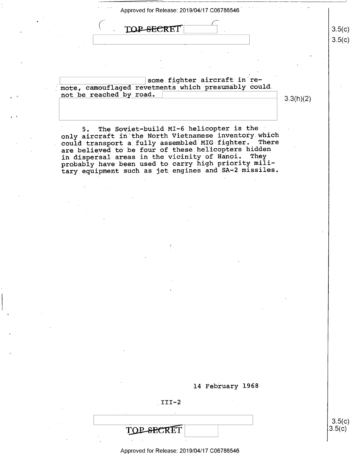$\text{TOP-SECRET}$   $|3.5(c)|$ 

some fighter aircraft in remote, camouflaged revetments which presumably could not be reached by road.  $\begin{array}{|c|c|c|c|c|}\n\hline\n3.3(h)(2) & \multicolumn{3}{c|}{ } \end{array}$ 

\_ \ s.5( )

 $3.5(c)$ 

 $3.5(c)$ 

5. The Soviet-build MI-6 helicopter is the only aircraft in the North Vietnamese inventory which<br>could transport a fully assembled MIG fighter. There could transport a fully assembled MIG fighter. are believed to be four of these helicopters hidden in dispersal areas in the vicinity of Hanoi. They probably have been used to carry high priority military equipment such as jet engines and SA-2 missiles.

14 February 1968

 $III-2$ 

 $\Box$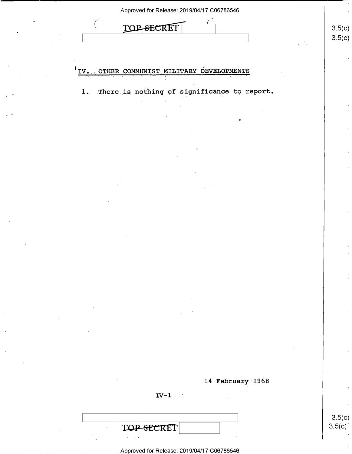|                 | Approved for Release: 2019/04/17 C06786546     |                  |
|-----------------|------------------------------------------------|------------------|
|                 | <b>TOP-SEC</b><br>CRET                         | 3.5(c)           |
|                 |                                                | 3.5(c)           |
|                 | IV. OTHER COMMUNIST MILITARY DEVELOPMENTS      |                  |
|                 |                                                |                  |
|                 | 1. There is nothing of significance to report. |                  |
| $\epsilon$ . If |                                                |                  |
|                 |                                                |                  |
|                 |                                                |                  |
|                 |                                                |                  |
|                 |                                                |                  |
|                 |                                                |                  |
|                 |                                                |                  |
|                 |                                                |                  |
|                 |                                                |                  |
|                 |                                                |                  |
|                 |                                                |                  |
|                 |                                                |                  |
|                 |                                                |                  |
|                 |                                                |                  |
|                 |                                                |                  |
|                 |                                                |                  |
|                 | 14 February 1968                               |                  |
|                 | $IV-1$                                         |                  |
|                 |                                                | 3.5(c)<br>3.5(c) |
|                 | TOP-SECRET                                     |                  |

\_\_ \_\_\_ \_Appr0ved for Release: 2019/04/17 C06786546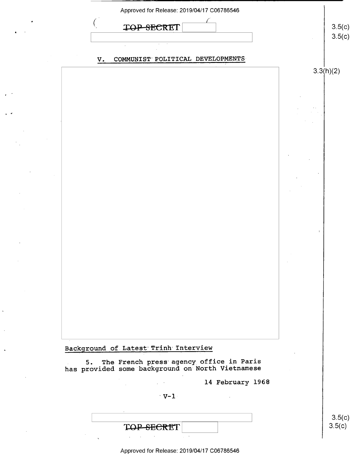| Approved for Release: 2019/04/17 C06786546                                                     |                  |
|------------------------------------------------------------------------------------------------|------------------|
| <del>SEC</del> RET<br><b>TOF</b>                                                               | 3.5(c)<br>3.5(c) |
| COMMUNIST POLITICAL DEVELOPMENTS<br>$V_{\cdot}$                                                |                  |
|                                                                                                | 3.3(h)(2)        |
|                                                                                                |                  |
|                                                                                                |                  |
|                                                                                                |                  |
|                                                                                                |                  |
|                                                                                                |                  |
|                                                                                                |                  |
|                                                                                                |                  |
|                                                                                                |                  |
|                                                                                                |                  |
|                                                                                                |                  |
|                                                                                                |                  |
|                                                                                                |                  |
|                                                                                                |                  |
| Background of Latest Trinh Interview                                                           |                  |
| 5. The French press agency office in Paris<br>has provided some background on North Vietnamese |                  |
| 14 February 1968<br>$\mathcal{L}^{\text{max}}$                                                 |                  |
| $V-I$                                                                                          |                  |
| eeret<br>TOP-SE                                                                                | 3.5(c)<br>3.5(c) |
|                                                                                                |                  |

 $\epsilon^{-1}$ 

 $\mathbf{r}=\mathbf{r}$ 

 $\hat{\mathcal{E}}$ 

 $\Delta \phi$ 

 $\Delta$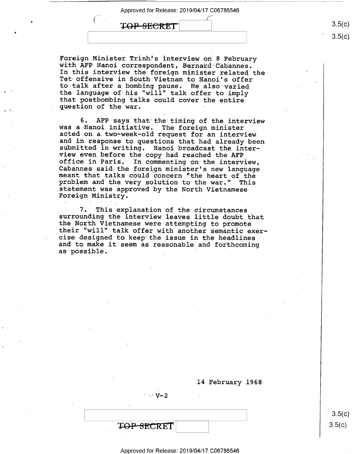$\text{TOP-}}}$  (1)  $3.5(c)$ 

Foreign Minister Trinh's interview on 8 February<br>with AFP Hanoi correspondent, Bernard Cabannes.<br>In this interview the foreign minister related the Tet offensive in South Vietnam to Hanoi's offer<br>to talk after a bombing pause. He also varied<br>the language of his "will" talk offer to imply<br>that postbombing talks could cover the entire<br>question of the war.

6. AFP says that the timing of the interview<br>was a Hanoi initiative. The foreign minister<br>acted on a two-week-old request for an interview<br>and in response to questions that had already been<br>submitted in writing. Hanoi broa

7. This explanation of the circumstances<br>surrounding the interview leaves little doubt that<br>the North Vietnamese were attempting to promote<br>their "will" talk offer with another semantic exer-<br>cise designed to keep the issu as possible. ' '

14 February 1968-

TOP SECRET

 $\cdots$   $\mathbf{V-2}$ 

 $3.5(c)$  $3.5(c)$ 

 $3.5(c)$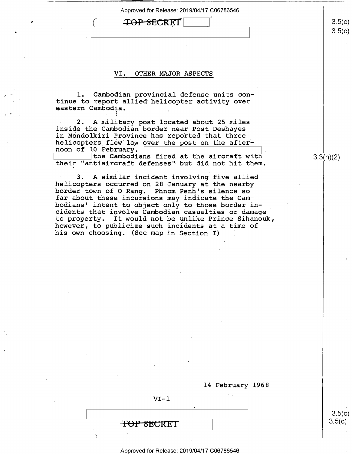# TOP SECRET

.

## VI. OTHER MAJOR ASPECTS

1. Cambodian provincial defense units continue to report allied helicopter activity over eastern Cambodia. \_

2. A military post located about 25 miles inside the Cambodian border near Post Deshayes<br>in Mondolkiri Province has reported that three helicopters flew low over the post on the after-<br>noon of 10 February.

the Cambodians fired at the aircraft with their "antiaircraft defenses"-but did not hit them.

3. A similar incident involving five allied<br>helicopters occurred on 28 January at the nearby border town of O Rang. Phnom Penh's silence so far about these incursions may indicate the Cambodians' intent to object only to those border incidents that involve Cambodian casualties or damage to property. It would not be unlike Prince Sihanouk, however, to publicize such incidents at a time of his own choosing. (See map in Section I)

14 February 1968

 $VI - 1$ 

<del>TOP SECRET</del>

Approved for Release: 2019/04/17 C06786546

 $3.3(h)(2)$ 

 $3.5(c)$ 

 $3.5(c)$ 

 $3.5(c)$ 

 $3.5(c)$